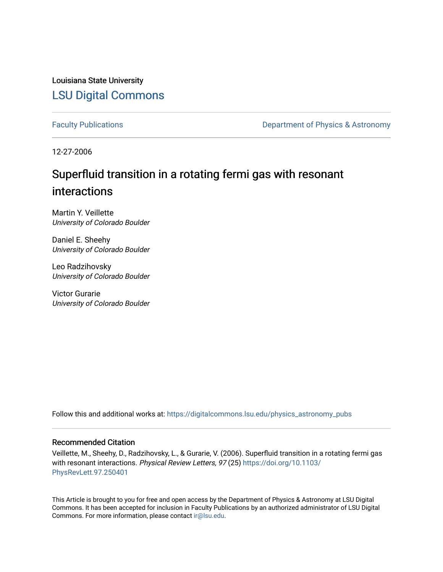Louisiana State University [LSU Digital Commons](https://digitalcommons.lsu.edu/)

[Faculty Publications](https://digitalcommons.lsu.edu/physics_astronomy_pubs) **Exercise 2 and Table 2 and Table 2 and Table 2 and Table 2 and Table 2 and Table 2 and Table 2 and Table 2 and Table 2 and Table 2 and Table 2 and Table 2 and Table 2 and Table 2 and Table 2 and Table** 

12-27-2006

## Superfluid transition in a rotating fermi gas with resonant interactions

Martin Y. Veillette University of Colorado Boulder

Daniel E. Sheehy University of Colorado Boulder

Leo Radzihovsky University of Colorado Boulder

Victor Gurarie University of Colorado Boulder

Follow this and additional works at: [https://digitalcommons.lsu.edu/physics\\_astronomy\\_pubs](https://digitalcommons.lsu.edu/physics_astronomy_pubs?utm_source=digitalcommons.lsu.edu%2Fphysics_astronomy_pubs%2F4998&utm_medium=PDF&utm_campaign=PDFCoverPages) 

## Recommended Citation

Veillette, M., Sheehy, D., Radzihovsky, L., & Gurarie, V. (2006). Superfluid transition in a rotating fermi gas with resonant interactions. Physical Review Letters, 97 (25) [https://doi.org/10.1103/](https://doi.org/10.1103/PhysRevLett.97.250401) [PhysRevLett.97.250401](https://doi.org/10.1103/PhysRevLett.97.250401)

This Article is brought to you for free and open access by the Department of Physics & Astronomy at LSU Digital Commons. It has been accepted for inclusion in Faculty Publications by an authorized administrator of LSU Digital Commons. For more information, please contact [ir@lsu.edu](mailto:ir@lsu.edu).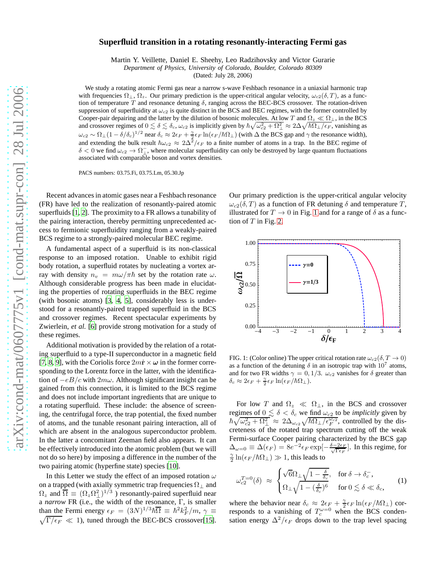## **Superfluid transition in a rotating resonantly-interacting Fermi gas**

Martin Y. Veillette, Daniel E. Sheehy, Leo Radzihovsky and Victor Gurarie

*Department of Physics, University of Colorado, Boulder, Colorado 80309*

(Dated: July 28, 2006)

We study a rotating atomic Fermi gas near a narrow s-wave Feshbach resonance in a uniaxial harmonic trap with frequencies  $\Omega_{\perp}$ ,  $\Omega_z$ . Our primary prediction is the upper-critical angular velocity,  $\omega_{c2}(\delta, T)$ , as a function of temperature  $T$  and resonance detuning  $\delta$ , ranging across the BEC-BCS crossover. The rotation-driven suppression of superfluidity at  $\omega_{c2}$  is quite distinct in the BCS and BEC regimes, with the former controlled by Cooper-pair depairing and the latter by the dilution of bosonic molecules. At low T and  $\Omega_z \ll \Omega_{\perp}$ , in the BCS and crossover regimes of  $0 \lesssim \delta \lesssim \delta_c$ ,  $\omega_{c2}$  is implicitly given by  $\hbar \sqrt{\omega_{c2}^2 + \Omega_{\perp}^2} \approx 2\Delta \sqrt{\hbar \Omega_{\perp}/\epsilon_F}$ , vanishing as  $\omega_{c2} \sim \Omega_{\perp} (1 - \delta/\delta_c)^{1/2}$  near  $\delta_c \approx 2\epsilon_F + \frac{\gamma}{2} \epsilon_F \ln(\epsilon_F/\hbar\Omega_{\perp})$  (with  $\Delta$  the BCS gap and  $\gamma$  the resonance width), and extending the bulk result  $\hbar\omega_{c2} \approx 2\Delta^2/\epsilon_F$  to a finite number of atoms in a trap. In the BEC regime of  $\delta$  < 0 we find  $\omega_{c2} \to \Omega_{\perp}$ , where molecular superfluidity can only be destroyed by large quantum fluctuations associated with comparable boson and vortex densities.

PACS numbers: 03.75.Fi, 03.75.Lm, 05.30.Jp

Recent advances in atomic gases near a Feshbach resonance (FR) have led to the realization of resonantly-paired atomic superfluids [\[1](#page-4-0), [2\]](#page-4-1). The proximity to a FR allows a tunability of the pairing interaction, thereby permitting unprecedented access to fermionic superfluidity ranging from a weakly-paired BCS regime to a strongly-paired molecular BEC regime.

A fundamental aspect of a superfluid is its non-classical response to an imposed rotation. Unable to exhibit rigid body rotation, a superfluid rotates by nucleating a vortex array with density  $n_v = m\omega/\pi\hbar$  set by the rotation rate  $\omega$ . Although considerable progress has been made in elucidating the properties of rotating superfluids in the BEC regime (with bosonic atoms) [\[3,](#page-4-2) [4,](#page-4-3) [5\]](#page-4-4), considerably less is understood for a resonantly-paired trapped superfluid in the BCS and crossover regimes. Recent spectacular experiments by Zwierlein, *et al.* [\[6](#page-4-5)] provide strong motivation for a study of these regimes.

Additional motivation is provided by the relation of a rotating superfluid to a type-II superconductor in a magnetic field [\[7](#page-4-6), [8](#page-4-7), [9\]](#page-4-8), with the Coriolis force  $2m\dot{\mathbf{r}} \times \boldsymbol{\omega}$  in the former corresponding to the Lorentz force in the latter, with the identification of  $-eB/c$  with  $2m\omega$ . Although significant insight can be gained from this connection, it is limited to the BCS regime and does not include important ingredients that are unique to a rotating superfluid. These include: the absence of screening, the centrifugal force, the trap potential, the fixed number of atoms, and the tunable resonant pairing interaction, all of which are absent in the analogous superconductor problem. In the latter a concomitant Zeeman field also appears. It can be effectively introduced into the atomic problem (but we will not do so here) by imposing a difference in the number of the two pairing atomic (hyperfine state) species [\[10\]](#page-4-9).

In this Letter we study the effect of an imposed rotation  $\omega$ on a trapped (with axially symmetric trap frequencies  $\Omega_{\perp}$  and  $\Omega_z$  and  $\overline{\Omega} \equiv (\Omega_z \Omega_\perp^2)^{1/3}$  ) resonantly-paired superfluid near a *narrow* FR (i.e., the width of the resonance, Γ, is smaller than the Fermi energy  $\epsilon_F = (3N)^{1/3} \hbar \overline{\Omega} \equiv \hbar^2 k_F^2 / m$ ,  $\gamma \equiv$  $\sqrt{\Gamma/\epsilon_F} \ll 1$ ), tuned through the BEC-BCS crossover[\[15\]](#page-4-10).

Our primary prediction is the upper-critical angular velocity  $\omega_{c2}(\delta, T)$  as a function of FR detuning  $\delta$  and temperature T, illustrated for  $T \to 0$  in Fig. [1](#page-1-0) and for a range of  $\delta$  as a function of  $T$  in Fig. [2.](#page-2-0)



<span id="page-1-0"></span>FIG. 1: (Color online) The upper critical rotation rate  $\omega_{c2}(\delta, T \to 0)$ as a function of the detuning  $\delta$  in an isotropic trap with  $10^7$  atoms, and for two FR widths  $\gamma = 0, 1/3$ .  $\omega_{c2}$  vanishes for  $\delta$  greater than  $\delta_c \approx 2\epsilon_F + \frac{\gamma}{2}\epsilon_F \ln(\epsilon_F/\hbar\Omega_\perp).$ 

For low T and  $\Omega_z \ll \Omega_{\perp}$ , in the BCS and crossover regimes of  $0 \le \delta < \delta_c$  we find  $\omega_{c2}$  to be *implicitly* given by  $\hbar \sqrt{\omega_{c2}^2 + \Omega_{\perp}^2} \approx 2\Delta_{\omega_{c2}} \sqrt{\hbar \Omega_{\perp}/\epsilon_F^{\omega_{c2}}}$ , controlled by the discreteness of the rotated trap spectrum cutting off the weak Fermi-surface Cooper pairing characterized by the BCS gap  $\Delta_{\omega=0} \equiv \Delta(\epsilon_F) = 8e^{-2} \epsilon_F \exp[-\frac{\delta - 2\epsilon_F}{\sqrt{\Gamma \epsilon_F}}]$ . In this regime, for  $\frac{\gamma}{2}\ln(\epsilon_F/\hbar\Omega_\perp)\gg 1$ , this leads to

$$
\omega_{c2}^{T=0}(\delta) \approx \begin{cases} \sqrt{6}\Omega_{\perp}\sqrt{1-\frac{\delta}{\delta_c}}, & \text{for } \delta \to \delta_c^-,\\ \Omega_{\perp}\sqrt{1-(\frac{\delta}{\delta_c})^6}, & \text{for } 0 \lesssim \delta \ll \delta_c, \end{cases}
$$
 (1)

<span id="page-1-1"></span>where the behavior near  $\delta_c \approx 2\epsilon_F + \frac{\gamma}{2} \epsilon_F \ln(\epsilon_F/\hbar\Omega_\perp)$  corresponds to a vanishing of  $T_c^{\omega=0}$  when the BCS condensation energy  $\Delta^2/\epsilon_F$  drops down to the trap level spacing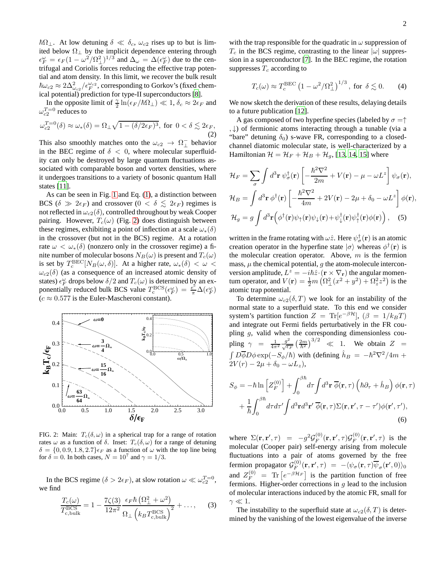$~\hbar\Omega_{\perp}$ . At low detuning  $\delta \ll \delta_c$ ,  $\omega_{c2}$  rises up to but is limited below  $\Omega_{\perp}$  by the implicit dependence entering through  $\epsilon_F^{\omega} = \epsilon_F (1 - \omega^2/\Omega_{\perp}^2)^{1/3}$  and  $\Delta_{\omega} = \Delta(\epsilon_F^{\omega})$  due to the centrifugal and Coriolis forces reducing the effective trap potential and atom density. In this limit, we recover the bulk result  $\hbar\omega_{c2}\approx 2\Delta^2_{\omega_{c2}}/\epsilon_F^{\omega_{c2}}$ , corresponding to Gorkov's (fixed chemical potential) prediction for type-II superconductors [\[8](#page-4-7)].

<span id="page-2-1"></span>In the opposite limit of  $\frac{\gamma}{2} \ln(\epsilon_F/\hbar\Omega_\perp) \ll 1$ ,  $\delta_c \approx 2\epsilon_F$  and  $\omega_{c2}^{T=0}$  reduces to

$$
\omega_{c2}^{T=0}(\delta) \approx \omega_*(\delta) = \Omega_\perp \sqrt{1 - (\delta/2\epsilon_F)^3}, \text{ for } 0 < \delta \lesssim 2\epsilon_F,\tag{2}
$$

This also smoothly matches onto the  $\omega_{c2} \rightarrow \Omega_{\perp}^-$  behavior in the BEC regime of  $\delta$  < 0, where molecular superfluidity can only be destroyed by large quantum fluctuations associated with comparable boson and vortex densities, where it undergoes transitions to a variety of bosonic quantum Hall states [\[11\]](#page-4-11).

As can be seen in Fig. [1](#page-1-0) and Eq. [\(1\)](#page-1-1), a distinction between BCS ( $\delta \gg 2\epsilon_F$ ) and crossover ( $0 < \delta \leq 2\epsilon_F$ ) regimes is not reflected in  $\omega_{c2}(\delta)$ , controlled throughout by weak Cooper pairing. However,  $T_c(\omega)$  (Fig. [2\)](#page-2-0) does distinguish between these regimes, exhibiting a point of inflection at a scale  $\omega_*(\delta)$ in the crossover (but not in the BCS) regime. At a rotation rate  $\omega < \omega_*(\delta)$  (nonzero only in the crossover regime) a finite number of molecular bosons  $N_B(\omega)$  is present and  $T_c(\omega)$ is set by  $T_c^{\text{BEC}}[N_B(\omega, \delta)]$ . At a higher rate,  $\omega_*(\delta) < \omega <$  $\omega_{c2}(\delta)$  (as a consequence of an increased atomic density of states)  $\epsilon_F^{\omega}$  drops below  $\delta/2$  and  $T_c(\omega)$  is determined by an exponentially reduced bulk BCS value  $T_c^{\text{BCS}}(\epsilon_F^{\omega}) = \frac{e^{\epsilon}}{\pi} \Delta(\epsilon_F^{\omega})$  $(c \approx 0.577$  is the Euler-Mascheroni constant).



<span id="page-2-0"></span>FIG. 2: Main:  $T_c(\delta, \omega)$  in a spherical trap for a range of rotation rates  $\omega$  as a function of  $\delta$ . Inset:  $T_c(\delta, \omega)$  for a range of detuning  $\delta = \{0, 0.9, 1.8, 2.7\}\epsilon_F$  as a function of  $\omega$  with the top line being for  $\delta = 0$ . In both cases,  $N = 10^7$  and  $\gamma = 1/3$ .

In the BCS regime ( $\delta > 2\epsilon_F$ ), at slow rotation  $\omega \ll \omega_{c2}^{T=0}$ , we find

$$
\frac{T_c(\omega)}{T_{c,\text{bulk}}^{\text{BCS}}} = 1 - \frac{7\zeta(3)}{12\pi^2} \frac{\epsilon_F \hbar \left(\Omega_\perp^2 + \omega^2\right)}{\Omega_\perp \left(k_B T_{c,\text{bulk}}^{\text{BCS}}\right)^2} + \dots,\tag{3}
$$

with the trap responsible for the quadratic in  $\omega$  suppression of  $T_c$  in the BCS regime, contrasting to the linear  $|\omega|$  suppression in a superconductor [\[7](#page-4-6)]. In the BEC regime, the rotation suppresses  $T_c$  according to

<span id="page-2-3"></span>
$$
T_c(\omega) \approx T_c^{\text{BEC}} \left(1 - \omega^2 / \Omega_\perp^2\right)^{1/3}
$$
, for  $\delta \lesssim 0$ . (4)

We now sketch the derivation of these results, delaying details to a future publication [\[12](#page-4-12)].

A gas composed of two hyperfine species (labeled by  $\sigma = \uparrow$ , ↓) of fermionic atoms interacting through a tunable (via a "bare" detuning  $\delta_0$ ) s-wave FR, corresponding to a closedchannel diatomic molecular state, is well-characterized by a Hamiltonian  $\mathcal{H} = \mathcal{H}_F + \mathcal{H}_B + \mathcal{H}_g$ , [\[13](#page-4-13), [14](#page-4-14), [15](#page-4-10)] where

$$
\mathcal{H}_F = \sum_{\sigma} \int d^3 \mathbf{r} \, \psi_{\sigma}^{\dagger}(\mathbf{r}) \left[ -\frac{\hbar^2 \nabla^2}{2m} + V(\mathbf{r}) - \mu - \omega L^z \right] \psi_{\sigma}(\mathbf{r}),
$$
  
\n
$$
\mathcal{H}_B = \int d^3 \mathbf{r} \, \phi^{\dagger}(\mathbf{r}) \left[ -\frac{\hbar^2 \nabla^2}{4m} + 2V(\mathbf{r}) - 2\mu + \delta_0 - \omega L^z \right] \phi(\mathbf{r}),
$$
  
\n
$$
\mathcal{H}_g = g \int d^3 \mathbf{r} \left( \phi^{\dagger}(\mathbf{r}) \psi_{\uparrow}(\mathbf{r}) \psi_{\downarrow}(\mathbf{r}) + \psi_{\downarrow}^{\dagger}(\mathbf{r}) \psi_{\uparrow}^{\dagger}(\mathbf{r}) \phi(\mathbf{r}) \right), \quad (5)
$$

written in the frame rotating with  $\omega \hat{z}$ . Here  $\psi_{\sigma}^{\dagger}({\bf r})$  is an atomic creation operator in the hyperfine state  $|\sigma\rangle$  whereas  $\phi^{\dagger}(\mathbf{r})$  is the molecular creation operator. Above,  $m$  is the fermion mass,  $\mu$  the chemical potential,  $q$  the atom-molecule interconversion amplitude,  $L^z = -i\hbar \hat{z} \cdot (\mathbf{r} \times \nabla_{\mathbf{r}})$  the angular momentum operator, and  $V(\mathbf{r}) = \frac{1}{2}m\left(\Omega_{\perp}^2(x^2 + y^2) + \Omega_z^2 z^2\right)$  is the atomic trap potential.

To determine  $\omega_{c2}(\delta, T)$  we look for an instability of the normal state to a superfluid state. To this end we consider system's partition function  $Z = \text{Tr}[e^{-\beta \mathcal{H}}], (\beta = 1/k_B T)$ and integrate out Fermi fields perturbatively in the FR coupling  $g$ , valid when the corresponding dimensionless coupling  $\gamma = \frac{1}{4\pi^2} \frac{g^2}{\sqrt{\epsilon_F}} \left(\frac{2m}{\hbar^2}\right)^{3/2} \ll 1$ . We obtain  $Z =$  $\int D\overline{\phi}D\phi \exp(-S_{\phi}/\hbar)$  with (defining  $\hat{h}_B = -\hbar^2 \nabla^2/4m +$  $2V(r) - 2\mu + \delta_0 - \omega L_z$ 

$$
S_{\phi} = -\hbar \ln \left[ Z_F^{(0)} \right] + \int_0^{\beta \hbar} d\tau \int d^3 \mathbf{r} \, \overline{\phi}(\mathbf{r}, \tau) \left( \hbar \partial_\tau + \hat{h}_B \right) \phi(\mathbf{r}, \tau) + \frac{1}{\hbar} \int_0^{\beta \hbar} d\tau d\tau' \int d^3 \mathbf{r} d^3 \mathbf{r}' \, \overline{\phi}(\mathbf{r}, \tau) \Sigma(\mathbf{r}, \mathbf{r}', \tau - \tau') \phi(\mathbf{r}', \tau'),
$$
\n(6)

where  $\Sigma(\mathbf{r}, \mathbf{r}', \tau) = -g^2 \mathcal{G}_F^{(0)}$  $\mathcal{G}_F^{(0)}(\mathbf{r},\mathbf{r}',\tau)\mathcal{G}_F^{(0)}$  $_{F}^{(0)}(\mathbf{r},\mathbf{r}',\tau)$  is the molecular (Cooper pair) self-energy arising from molecule fluctuations into a pair of atoms governed by the free fermion propagator  $\mathcal{G}_F^{(0)}$  $\mathcal{L}_{F}^{(0)}(\mathbf{r},\mathbf{r}',\tau) = -\langle \psi_{\sigma}(\mathbf{r},\tau) \overline{\psi}_{\sigma}(\mathbf{r}',0) \rangle_{0}$ and  $Z_F^{(0)} = \text{Tr} \left[ e^{-\beta \mathcal{H}_F} \right]$  is the partition function of free fermions. Higher-order corrections in  $q$  lead to the inclusion of molecular interactions induced by the atomic FR, small for  $\gamma \ll 1$ .

<span id="page-2-2"></span>The instability to the superfluid state at  $\omega_{c2}(\delta, T)$  is determined by the vanishing of the lowest eigenvalue of the inverse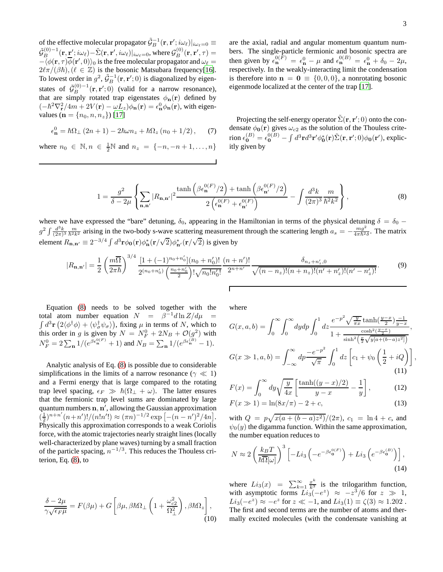of the effective molecular propagator  $\tilde{\mathcal{G}}_B^{-1}(\mathbf{r}, \mathbf{r}'; i\omega_\ell)|_{i\omega_\ell=0} \equiv$  $\tilde{\cal G}^{(0)-1}_B({\bf r},{\bf r}';i\omega_\ell)$ — $\tilde{\Sigma}({\bf r},{\bf r}',i\omega_\ell)|_{i\omega_\ell=0}$ , where  ${\cal G}^{(0)}_B({\bf r},{\bf r}',\tau)=$  $-\langle \phi(\mathbf{r}, \tau) \overline{\phi}(\mathbf{r}', 0) \rangle_0$  is the free molecular propagator and  $\omega_\ell =$  $2\ell\pi/(\beta\hbar),(\ell \in \mathbb{Z})$  is the bosonic Matsubara frequency[\[16\]](#page-4-15). To lowest order in  $g^2$ ,  $\tilde{G}_B^{-1}(\mathbf{r}, \mathbf{r}'; 0)$  is diagonalized by eigenstates of  $\tilde{\mathcal{G}}_B^{(0)-1}(\mathbf{r}, \mathbf{r}'; 0)$  (valid for a narrow resonance), that are simply rotated trap eigenstates  $\phi_{\bf n}({\bf r})$  defined by  $(-\hbar^2 \nabla_{\mathbf{r}}^2/4m + 2V(\mathbf{r}) - \omega L_z)\phi_{\mathbf{n}}(\mathbf{r}) = \epsilon_{\mathbf{n}}^0 \phi_{\mathbf{n}}(\mathbf{r}),$  with eigenvalues ( $\mathbf{n} = \{n_0, n, n_z\}$ ) [\[17\]](#page-4-16)

$$
\epsilon_{\mathbf{n}}^{0} = \hbar\Omega_{\perp} (2n+1) - 2\hbar\omega n_{z} + \hbar\Omega_{z} (n_{0} + 1/2), \quad (7)
$$

<span id="page-3-0"></span>where  $n_0 \in \mathbb{N}, n \in \frac{1}{2}\mathbb{N}$  and  $n_z = \{-n, -n+1, ..., n\}$ 

are the axial, radial and angular momentum quantum numbers. The single-particle fermionic and bosonic spectra are then given by  $\epsilon_{\mathbf{n}}^{0(F)} = \epsilon_{\mathbf{n}}^0 - \mu$  and  $\epsilon_{\mathbf{n}}^{0(B)} = \epsilon_{\mathbf{n}}^0 + \delta_0 - 2\mu$ , respectively. In the weakly-interacting limit the condensation is therefore into  $\mathbf{n} = \mathbf{0} \equiv \{0,0,0\}$ , a nonrotating bosonic eigenmode localized at the center of the trap [\[17\]](#page-4-16).

Projecting the self-energy operator  $\tilde{\Sigma}(\mathbf{r}, \mathbf{r}'; 0)$  onto the condensate  $\phi_0(\mathbf{r})$  gives  $\omega_{c2}$  as the solution of the Thouless criterion  $\epsilon_{\bf 0}^{(B)}=\epsilon_{\bf 0}^{0(B)}-\int d^3{\bf r} d^3{\bf r}'\phi_{\bf 0}^*({\bf r})\tilde{\Sigma}({\bf r},{\bf r}';0)\phi_{\bf 0}({\bf r}'),$  explicitly given by

$$
1 = \frac{g^2}{\delta - 2\mu} \left\{ \sum_{\mathbf{n}, \mathbf{n'}} \left| R_{\mathbf{n}, \mathbf{n'}} \right|^2 \frac{\tanh\left( \beta \epsilon_{\mathbf{n}}^{0(F)} / 2 \right) + \tanh\left( \beta \epsilon_{\mathbf{n'}}^{0(F)} / 2 \right)}{2 \left( \epsilon_{\mathbf{n}}^{0(F)} + \epsilon_{\mathbf{n'}}^{0(F)} \right)} - \int \frac{d^3 k}{(2\pi)^3} \frac{m}{\hbar^2 k^2} \right\},\tag{8}
$$

where we have expressed the "bare" detuning,  $\delta_0$ , appearing in the Hamiltonian in terms of the physical detuning  $\delta = \delta_0$  –  $g^2 \int \frac{d^3k}{(2\pi)^3} \frac{m}{\hbar^2 k^2}$  arising in the two-body s-wave scattering measurement through the scattering length  $a_s = -\frac{mg^2}{4\pi \hbar^2 \delta}$ . The matrix element  $R_{n,n'} \equiv 2^{-3/4} \int d^3 \mathbf{r} \phi_0(\mathbf{r}) \phi_n^*(\mathbf{r}/\sqrt{2}) \phi_{n'}^*(\mathbf{r}/\sqrt{2})$  is given by

$$
|R_{\mathbf{n},\mathbf{n}'}| = \frac{1}{2} \left(\frac{m\overline{\Omega}}{2\pi\hbar}\right)^{3/4} \frac{[1+(-1)^{n_0+n'_0}](n_0+n'_0)!}{2^{(n_0+n'_0)}\left(\frac{n_0+n'_0}{2}\right)! \sqrt{n_0!n'_0!}} \frac{(n+n')!}{2^{n+n'}} \frac{\delta_{n_z+n'_z,0}}{\sqrt{(n-n_z)!(n+n_z)!(n'+n'_z)!(n'-n'_z)!}}.
$$
(9)

Г

Equation [\(8\)](#page-3-0) needs to be solved together with the total atom number equation  $N = \beta^{-1} d \ln Z / d \mu =$  $\int d^3 \mathbf{r} (2\langle \phi^\dagger \phi \rangle + \langle \psi^\dagger_\sigma \psi_\sigma \rangle)$ , fixing  $\mu$  in terms of N, which to this order in g is given by  $N = N_F^0 + 2N_B + O(g^2)$  with  $N_F^0 = 2 \sum_{\mathbf{n}} 1/(e^{\beta \epsilon_{\mathbf{n}}^{0(F)}} + 1)$  and  $N_B = \sum_{\mathbf{n}} 1/(e^{\beta \epsilon_{\mathbf{n}}^{(B)}} - 1)$ .

Analytic analysis of Eq. [\(8\)](#page-3-0) is possible due to considerable simplifications in the limits of a narrow resonance ( $\gamma \ll 1$ ) and a Fermi energy that is large compared to the rotating trap level spacing,  $\epsilon_F \gg \hbar(\Omega_{\perp} + \omega)$ . The latter ensures that the fermionic trap level sums are dominated by large quantum numbers  $\mathbf{n}, \mathbf{n}'$ , allowing the Gaussian approximation  $\left(\frac{1}{2}\right)^{n+n'}(n+n')!/(n!n') \approx (\pi n)^{-1/2} \exp \left[-(n-n')^2/4n\right].$ Physically this approximation corresponds to a weak Coriolis force, with the atomic trajectories nearly straight lines (locally well-characterized by plane waves) turning by a small fraction of the particle spacing,  $n^{-1/3}$ . This reduces the Thouless criterion, Eq. [\(8\)](#page-3-0), to

$$
\frac{\delta - 2\mu}{\gamma \sqrt{\epsilon_F \mu}} = F(\beta \mu) + G \left[ \beta \mu, \beta \hbar \Omega_{\perp} \left( 1 + \frac{\omega_{c2}^2}{\Omega_{\perp}^2} \right), \beta \hbar \Omega_z \right],
$$
\n(10)

where

$$
G(x, a, b) = \int_0^\infty \int_0^\infty dy dp \int_0^1 dz \frac{e^{-p^2} \sqrt{\frac{y}{\pi x}} \tanh(\frac{y-x}{2}) \frac{-1}{y-x}}{1 + \frac{\cosh^2(\frac{y-x}{2})}{\sinh^2(\frac{p}{2}\sqrt{y[a + (b-a)z^2]})}},
$$
  

$$
G(x \gg 1, a, b) = \int_{-\infty}^\infty dp \frac{-e^{-p^2}}{\sqrt{\pi}} \int_0^1 dz \left[ c_1 + \psi_0 \left( \frac{1}{2} + iQ \right) \right],
$$
(11)

$$
F(x) = \int_0^\infty dy \sqrt{\frac{y}{4x}} \left[ \frac{\tanh((y-x)/2)}{y-x} - \frac{1}{y} \right],
$$
 (12)

$$
F(x \gg 1) = \ln(8x/\pi) - 2 + c,\tag{13}
$$

with  $Q = p\sqrt{x(a + (b - a)z^2)/(2\pi)}$ ,  $c_1 = \ln 4 + c$ , and  $\psi_0(y)$  the digamma function. Within the same approximation, the number equation reduces to

<span id="page-3-1"></span>
$$
N \approx 2 \left(\frac{k_B T}{\hbar \overline{\Omega}[\omega]}\right)^3 \left[-Li_3\left(-e^{-\beta \epsilon_0^{0(F)}}\right) + Li_3\left(e^{-\beta \epsilon_0^{(B)}}\right)\right],\tag{14}
$$

where  $Li_3(x) = \sum_{k=1}^{\infty} \frac{x^k}{k^3}$  is the trilogarithm function, with asymptotic forms  $Li_3(-e^z) \approx -z^3/6$  for  $z \gg 1$ ,  $Li_3(-e^z) \approx -e^z$  for  $z \ll -1$ , and  $Li_3(1) \equiv \zeta(3) \approx 1.202$ . The first and second terms are the number of atoms and thermally excited molecules (with the condensate vanishing at